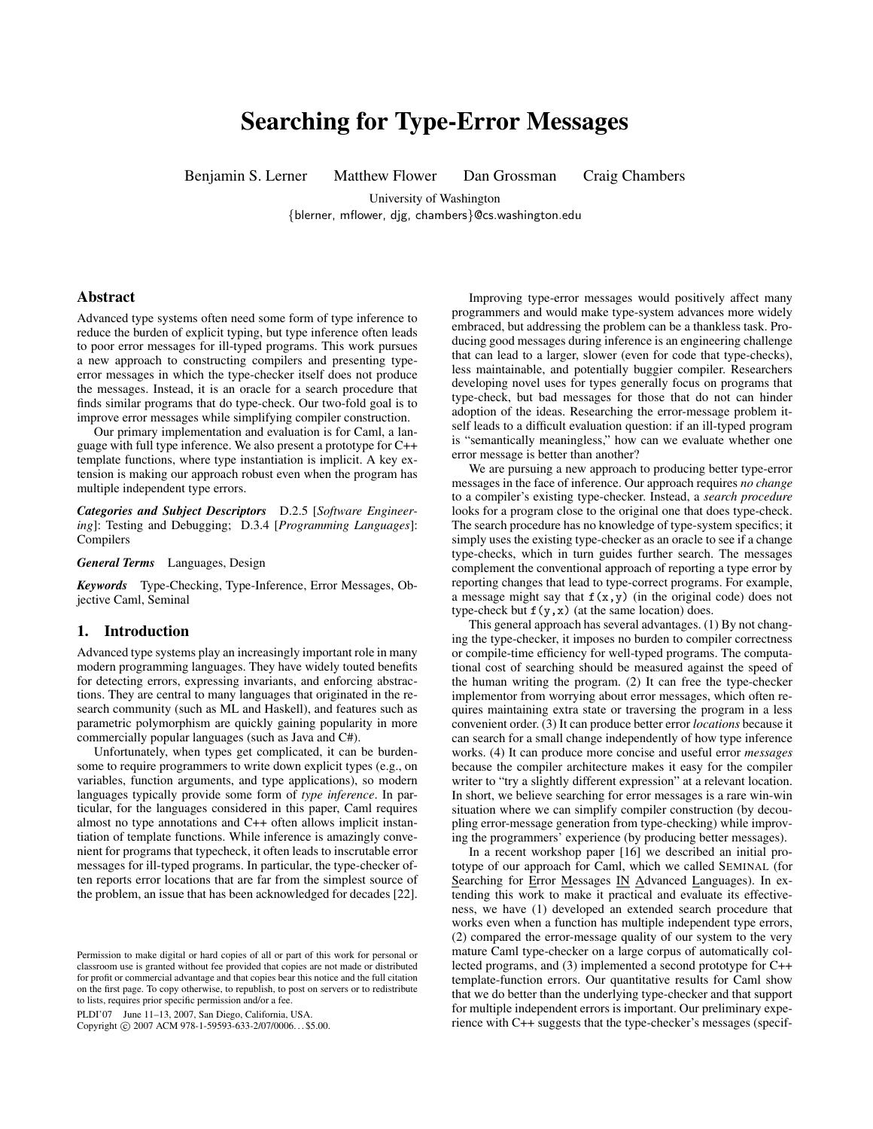# Searching for Type-Error Messages

Benjamin S. Lerner Matthew Flower Dan Grossman Craig Chambers

University of Washington {blerner, mflower, djg, chambers}@cs.washington.edu

# Abstract

Advanced type systems often need some form of type inference to reduce the burden of explicit typing, but type inference often leads to poor error messages for ill-typed programs. This work pursues a new approach to constructing compilers and presenting typeerror messages in which the type-checker itself does not produce the messages. Instead, it is an oracle for a search procedure that finds similar programs that do type-check. Our two-fold goal is to improve error messages while simplifying compiler construction.

Our primary implementation and evaluation is for Caml, a language with full type inference. We also present a prototype for C++ template functions, where type instantiation is implicit. A key extension is making our approach robust even when the program has multiple independent type errors.

*Categories and Subject Descriptors* D.2.5 [*Software Engineering*]: Testing and Debugging; D.3.4 [*Programming Languages*]: Compilers

*General Terms* Languages, Design

*Keywords* Type-Checking, Type-Inference, Error Messages, Objective Caml, Seminal

# 1. Introduction

Advanced type systems play an increasingly important role in many modern programming languages. They have widely touted benefits for detecting errors, expressing invariants, and enforcing abstractions. They are central to many languages that originated in the research community (such as ML and Haskell), and features such as parametric polymorphism are quickly gaining popularity in more commercially popular languages (such as Java and C#).

Unfortunately, when types get complicated, it can be burdensome to require programmers to write down explicit types (e.g., on variables, function arguments, and type applications), so modern languages typically provide some form of *type inference*. In particular, for the languages considered in this paper, Caml requires almost no type annotations and C++ often allows implicit instantiation of template functions. While inference is amazingly convenient for programs that typecheck, it often leads to inscrutable error messages for ill-typed programs. In particular, the type-checker often reports error locations that are far from the simplest source of the problem, an issue that has been acknowledged for decades [22].

PLDI'07 June 11–13, 2007, San Diego, California, USA.

Copyright © 2007 ACM 978-1-59593-633-2/07/0006... \$5.00.

Improving type-error messages would positively affect many programmers and would make type-system advances more widely embraced, but addressing the problem can be a thankless task. Producing good messages during inference is an engineering challenge that can lead to a larger, slower (even for code that type-checks), less maintainable, and potentially buggier compiler. Researchers developing novel uses for types generally focus on programs that type-check, but bad messages for those that do not can hinder adoption of the ideas. Researching the error-message problem itself leads to a difficult evaluation question: if an ill-typed program is "semantically meaningless," how can we evaluate whether one error message is better than another?

We are pursuing a new approach to producing better type-error messages in the face of inference. Our approach requires *no change* to a compiler's existing type-checker. Instead, a *search procedure* looks for a program close to the original one that does type-check. The search procedure has no knowledge of type-system specifics; it simply uses the existing type-checker as an oracle to see if a change type-checks, which in turn guides further search. The messages complement the conventional approach of reporting a type error by reporting changes that lead to type-correct programs. For example, a message might say that  $f(x,y)$  (in the original code) does not type-check but  $f(y, x)$  (at the same location) does.

This general approach has several advantages. (1) By not changing the type-checker, it imposes no burden to compiler correctness or compile-time efficiency for well-typed programs. The computational cost of searching should be measured against the speed of the human writing the program. (2) It can free the type-checker implementor from worrying about error messages, which often requires maintaining extra state or traversing the program in a less convenient order. (3) It can produce better error *locations* because it can search for a small change independently of how type inference works. (4) It can produce more concise and useful error *messages* because the compiler architecture makes it easy for the compiler writer to "try a slightly different expression" at a relevant location. In short, we believe searching for error messages is a rare win-win situation where we can simplify compiler construction (by decoupling error-message generation from type-checking) while improving the programmers' experience (by producing better messages).

In a recent workshop paper [16] we described an initial prototype of our approach for Caml, which we called SEMINAL (for Searching for Error Messages IN Advanced Languages). In extending this work to make it practical and evaluate its effectiveness, we have (1) developed an extended search procedure that works even when a function has multiple independent type errors, (2) compared the error-message quality of our system to the very mature Caml type-checker on a large corpus of automatically collected programs, and (3) implemented a second prototype for C++ template-function errors. Our quantitative results for Caml show that we do better than the underlying type-checker and that support for multiple independent errors is important. Our preliminary experience with C++ suggests that the type-checker's messages (specif-

Permission to make digital or hard copies of all or part of this work for personal or classroom use is granted without fee provided that copies are not made or distributed for profit or commercial advantage and that copies bear this notice and the full citation on the first page. To copy otherwise, to republish, to post on servers or to redistribute to lists, requires prior specific permission and/or a fee.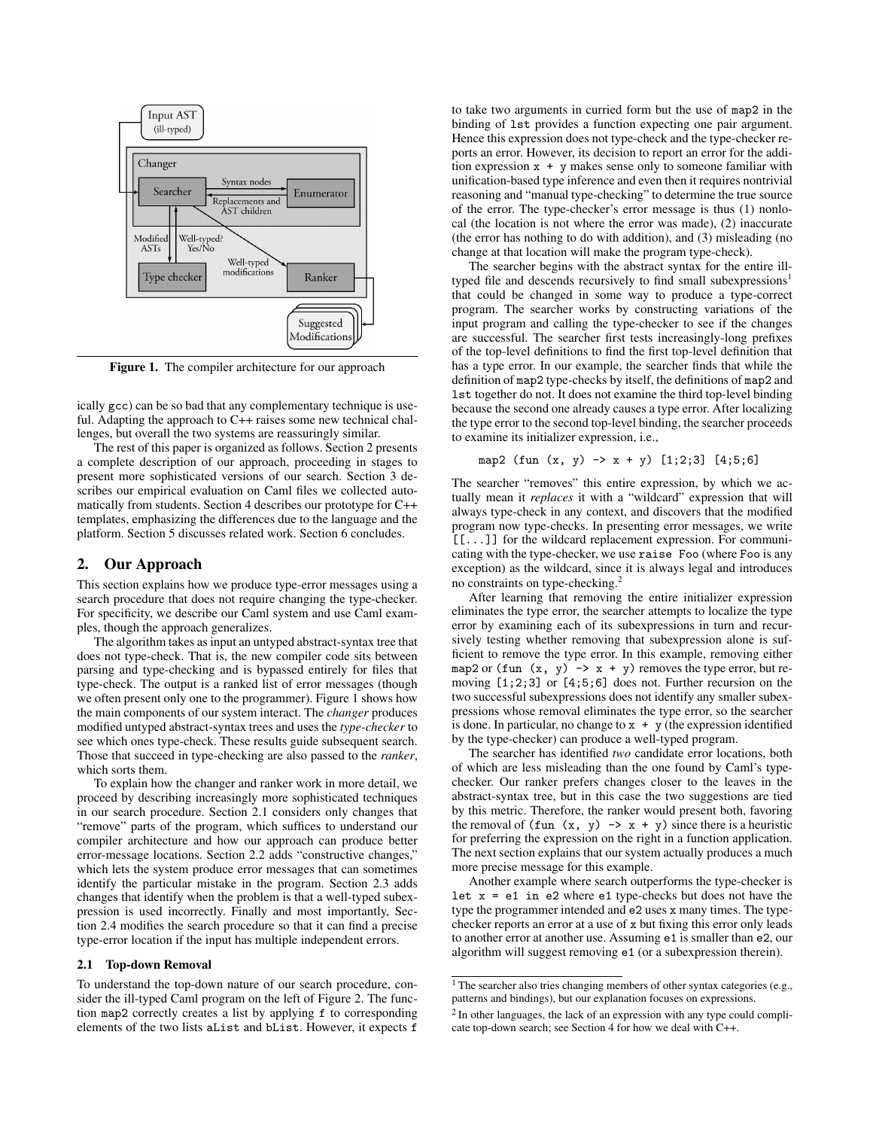

Figure 1. The compiler architecture for our approach

ically gcc) can be so bad that any complementary technique is useful. Adapting the approach to C++ raises some new technical challenges, but overall the two systems are reassuringly similar.

The rest of this paper is organized as follows. Section 2 presents a complete description of our approach, proceeding in stages to present more sophisticated versions of our search. Section 3 describes our empirical evaluation on Caml files we collected automatically from students. Section 4 describes our prototype for C++ templates, emphasizing the differences due to the language and the platform. Section 5 discusses related work. Section 6 concludes.

# 2. Our Approach

This section explains how we produce type-error messages using a search procedure that does not require changing the type-checker. For specificity, we describe our Caml system and use Caml examples, though the approach generalizes.

The algorithm takes as input an untyped abstract-syntax tree that does not type-check. That is, the new compiler code sits between parsing and type-checking and is bypassed entirely for files that type-check. The output is a ranked list of error messages (though we often present only one to the programmer). Figure 1 shows how the main components of our system interact. The *changer* produces modified untyped abstract-syntax trees and uses the *type-checker* to see which ones type-check. These results guide subsequent search. Those that succeed in type-checking are also passed to the *ranker*, which sorts them.

To explain how the changer and ranker work in more detail, we proceed by describing increasingly more sophisticated techniques in our search procedure. Section 2.1 considers only changes that "remove" parts of the program, which suffices to understand our compiler architecture and how our approach can produce better error-message locations. Section 2.2 adds "constructive changes," which lets the system produce error messages that can sometimes identify the particular mistake in the program. Section 2.3 adds changes that identify when the problem is that a well-typed subexpression is used incorrectly. Finally and most importantly, Section 2.4 modifies the search procedure so that it can find a precise type-error location if the input has multiple independent errors.

#### 2.1 Top-down Removal

To understand the top-down nature of our search procedure, consider the ill-typed Caml program on the left of Figure 2. The function map2 correctly creates a list by applying f to corresponding elements of the two lists aList and bList. However, it expects f

to take two arguments in curried form but the use of map2 in the binding of lst provides a function expecting one pair argument. Hence this expression does not type-check and the type-checker reports an error. However, its decision to report an error for the addition expression x + y makes sense only to someone familiar with unification-based type inference and even then it requires nontrivial reasoning and "manual type-checking" to determine the true source of the error. The type-checker's error message is thus (1) nonlocal (the location is not where the error was made), (2) inaccurate (the error has nothing to do with addition), and (3) misleading (no change at that location will make the program type-check).

The searcher begins with the abstract syntax for the entire illtyped file and descends recursively to find small subexpressions<sup>1</sup> that could be changed in some way to produce a type-correct program. The searcher works by constructing variations of the input program and calling the type-checker to see if the changes are successful. The searcher first tests increasingly-long prefixes of the top-level definitions to find the first top-level definition that has a type error. In our example, the searcher finds that while the definition of map2 type-checks by itself, the definitions of map2 and lst together do not. It does not examine the third top-level binding because the second one already causes a type error. After localizing the type error to the second top-level binding, the searcher proceeds to examine its initializer expression, i.e.,

## map2 (fun  $(x, y)$   $\rightarrow$   $x + y$ ) [1;2;3] [4;5;6]

The searcher "removes" this entire expression, by which we actually mean it *replaces* it with a "wildcard" expression that will always type-check in any context, and discovers that the modified program now type-checks. In presenting error messages, we write [[...]] for the wildcard replacement expression. For communicating with the type-checker, we use raise Foo (where Foo is any exception) as the wildcard, since it is always legal and introduces no constraints on type-checking.<sup>2</sup>

After learning that removing the entire initializer expression eliminates the type error, the searcher attempts to localize the type error by examining each of its subexpressions in turn and recursively testing whether removing that subexpression alone is sufficient to remove the type error. In this example, removing either map2 or (fun  $(x, y) \rightarrow x + y$ ) removes the type error, but removing [1;2;3] or [4;5;6] does not. Further recursion on the two successful subexpressions does not identify any smaller subexpressions whose removal eliminates the type error, so the searcher is done. In particular, no change to  $x + y$  (the expression identified by the type-checker) can produce a well-typed program.

The searcher has identified *two* candidate error locations, both of which are less misleading than the one found by Caml's typechecker. Our ranker prefers changes closer to the leaves in the abstract-syntax tree, but in this case the two suggestions are tied by this metric. Therefore, the ranker would present both, favoring the removal of (fun  $(x, y) \rightarrow x + y$ ) since there is a heuristic for preferring the expression on the right in a function application. The next section explains that our system actually produces a much more precise message for this example.

Another example where search outperforms the type-checker is let  $x = e1$  in  $e2$  where  $e1$  type-checks but does not have the type the programmer intended and e2 uses x many times. The typechecker reports an error at a use of x but fixing this error only leads to another error at another use. Assuming e1 is smaller than e2, our algorithm will suggest removing e1 (or a subexpression therein).

<sup>&</sup>lt;sup>1</sup> The searcher also tries changing members of other syntax categories (e.g., patterns and bindings), but our explanation focuses on expressions.

 $2$ In other languages, the lack of an expression with any type could complicate top-down search; see Section 4 for how we deal with C++.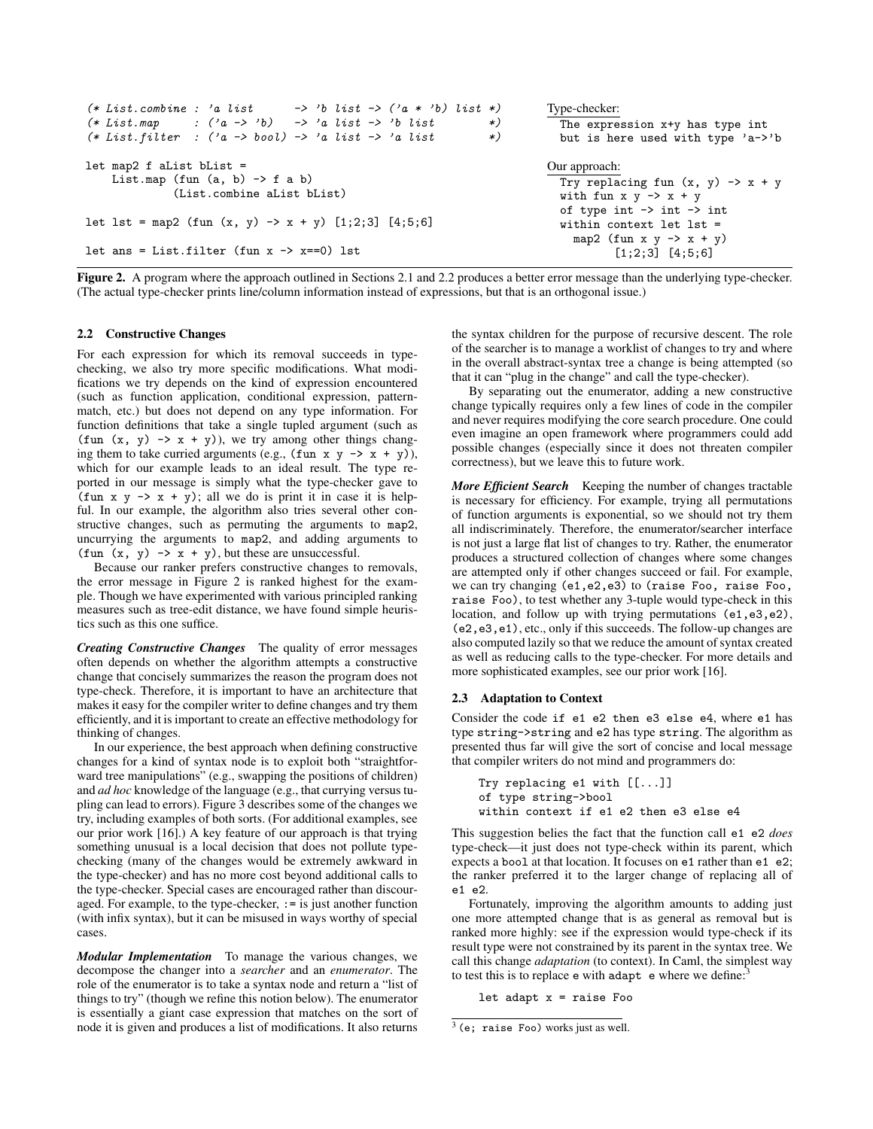```
(* List.compile : 'a list --> 'b list -> ('a * 'b) list *)(* Listmap : ('a \rightarrow 'b) \rightarrow 'a list \rightarrow 'b list \rightarrow *)(* List.filter : ('a \rightarrow bool) \rightarrow 'a list \rightarrow 'a list \rightarrow *)let map2 f aList bList =
    List.map (fun (a, b) -> f a b)
               (List.combine aList bList)
let lst = map2 (fun (x, y) \rightarrow x + y) [1;2;3] [4;5;6]let ans = List.filter (fun x \rightarrow x == 0) lst
                                                                                 Type-checker:
                                                                                   The expression x+y has type int
                                                                                   but is here used with type 'a->'b
                                                                                 Our approach:
                                                                                   Try replacing fun (x, y) \rightarrow x + ywith fun x y \rightarrow x + yof type int -> int -> int
                                                                                   within context let lst =
                                                                                     map2 (fun x y \rightarrow x + y)
                                                                                             [1;2;3] [4;5;6]
```
Figure 2. A program where the approach outlined in Sections 2.1 and 2.2 produces a better error message than the underlying type-checker. (The actual type-checker prints line/column information instead of expressions, but that is an orthogonal issue.)

## 2.2 Constructive Changes

For each expression for which its removal succeeds in typechecking, we also try more specific modifications. What modifications we try depends on the kind of expression encountered (such as function application, conditional expression, patternmatch, etc.) but does not depend on any type information. For function definitions that take a single tupled argument (such as (fun  $(x, y) \rightarrow x + y$ ), we try among other things changing them to take curried arguments (e.g., (fun x y  $\rightarrow$  x + y)), which for our example leads to an ideal result. The type reported in our message is simply what the type-checker gave to (fun  $x \ y \rightarrow x + y$ ); all we do is print it in case it is helpful. In our example, the algorithm also tries several other constructive changes, such as permuting the arguments to map2, uncurrying the arguments to map2, and adding arguments to (fun  $(x, y) \rightarrow x + y$ ), but these are unsuccessful.

Because our ranker prefers constructive changes to removals, the error message in Figure 2 is ranked highest for the example. Though we have experimented with various principled ranking measures such as tree-edit distance, we have found simple heuristics such as this one suffice.

*Creating Constructive Changes* The quality of error messages often depends on whether the algorithm attempts a constructive change that concisely summarizes the reason the program does not type-check. Therefore, it is important to have an architecture that makes it easy for the compiler writer to define changes and try them efficiently, and it is important to create an effective methodology for thinking of changes.

In our experience, the best approach when defining constructive changes for a kind of syntax node is to exploit both "straightforward tree manipulations" (e.g., swapping the positions of children) and *ad hoc* knowledge of the language (e.g., that currying versus tupling can lead to errors). Figure 3 describes some of the changes we try, including examples of both sorts. (For additional examples, see our prior work [16].) A key feature of our approach is that trying something unusual is a local decision that does not pollute typechecking (many of the changes would be extremely awkward in the type-checker) and has no more cost beyond additional calls to the type-checker. Special cases are encouraged rather than discouraged. For example, to the type-checker,  $:=$  is just another function (with infix syntax), but it can be misused in ways worthy of special cases.

*Modular Implementation* To manage the various changes, we decompose the changer into a *searcher* and an *enumerator*. The role of the enumerator is to take a syntax node and return a "list of things to try" (though we refine this notion below). The enumerator is essentially a giant case expression that matches on the sort of node it is given and produces a list of modifications. It also returns the syntax children for the purpose of recursive descent. The role of the searcher is to manage a worklist of changes to try and where in the overall abstract-syntax tree a change is being attempted (so that it can "plug in the change" and call the type-checker).

By separating out the enumerator, adding a new constructive change typically requires only a few lines of code in the compiler and never requires modifying the core search procedure. One could even imagine an open framework where programmers could add possible changes (especially since it does not threaten compiler correctness), but we leave this to future work.

*More Efficient Search* Keeping the number of changes tractable is necessary for efficiency. For example, trying all permutations of function arguments is exponential, so we should not try them all indiscriminately. Therefore, the enumerator/searcher interface is not just a large flat list of changes to try. Rather, the enumerator produces a structured collection of changes where some changes are attempted only if other changes succeed or fail. For example, we can try changing (e1,e2,e3) to (raise Foo, raise Foo, raise Foo), to test whether any 3-tuple would type-check in this location, and follow up with trying permutations (e1,e3,e2), (e2,e3,e1), etc., only if this succeeds. The follow-up changes are also computed lazily so that we reduce the amount of syntax created as well as reducing calls to the type-checker. For more details and more sophisticated examples, see our prior work [16].

#### 2.3 Adaptation to Context

Consider the code if e1 e2 then e3 else e4, where e1 has type string->string and e2 has type string. The algorithm as presented thus far will give the sort of concise and local message that compiler writers do not mind and programmers do:

```
Try replacing e1 with [[...]]
of type string->bool
within context if e1 e2 then e3 else e4
```
This suggestion belies the fact that the function call e1 e2 *does* type-check—it just does not type-check within its parent, which expects a bool at that location. It focuses on e1 rather than e1 e2; the ranker preferred it to the larger change of replacing all of e1 e2.

Fortunately, improving the algorithm amounts to adding just one more attempted change that is as general as removal but is ranked more highly: see if the expression would type-check if its result type were not constrained by its parent in the syntax tree. We call this change *adaptation* (to context). In Caml, the simplest way to test this is to replace  $e$  with adapt  $e$  where we define:<sup>3</sup>

let adapt  $x = raise Foo$ 

 $3$  (e; raise Foo) works just as well.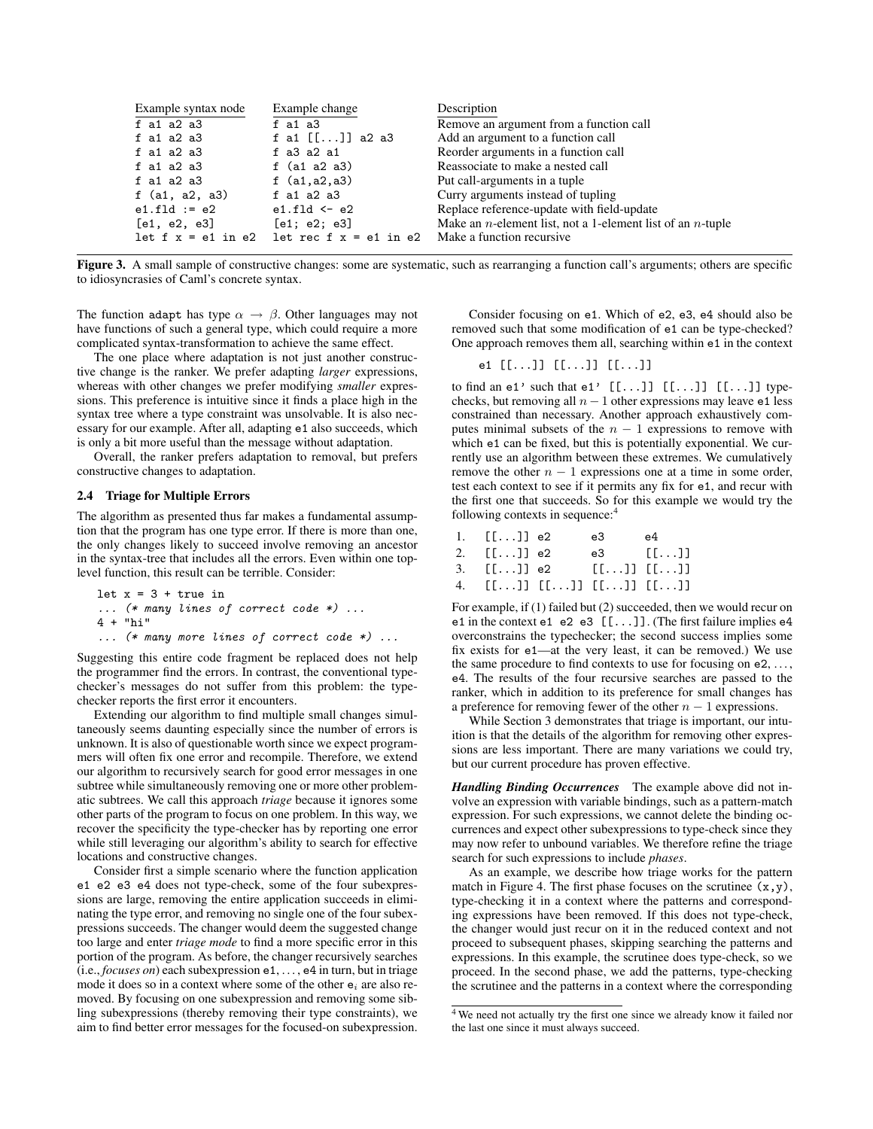| Example syntax node | Example change                                                                        | Description                                                                |
|---------------------|---------------------------------------------------------------------------------------|----------------------------------------------------------------------------|
| $f$ a1 a2 a3        | $f$ al a3                                                                             | Remove an argument from a function call                                    |
| $f$ a1 a2 a3        | f a1 $[]$ a2 a3                                                                       | Add an argument to a function call                                         |
| $f$ a1 a2 a3        | $f$ a3 a2 a1                                                                          | Reorder arguments in a function call                                       |
| $f$ a1 a2 a3        | $f$ (a1 a2 a3)                                                                        | Reassociate to make a nested call                                          |
| $f$ a1 a2 a3        | f (a1, a2, a3)                                                                        | Put call-arguments in a tuple                                              |
| f (a1, a2, a3)      | $f$ a1 a2 a3                                                                          | Curry arguments instead of tupling                                         |
| $e1.f1d := e2$      | $e1.f1d \leftarrow e2$                                                                | Replace reference-update with field-update                                 |
| [e1, e2, e3]        | [e1; e2; e3]                                                                          | Make an <i>n</i> -element list, not a 1-element list of an <i>n</i> -tuple |
|                     | let $f \times = e1$ in $e2$ let rec $f \times = e1$ in $e2$ Make a function recursive |                                                                            |

Figure 3. A small sample of constructive changes: some are systematic, such as rearranging a function call's arguments; others are specific to idiosyncrasies of Caml's concrete syntax.

The function adapt has type  $\alpha \rightarrow \beta$ . Other languages may not have functions of such a general type, which could require a more complicated syntax-transformation to achieve the same effect.

The one place where adaptation is not just another constructive change is the ranker. We prefer adapting *larger* expressions, whereas with other changes we prefer modifying *smaller* expressions. This preference is intuitive since it finds a place high in the syntax tree where a type constraint was unsolvable. It is also necessary for our example. After all, adapting e1 also succeeds, which is only a bit more useful than the message without adaptation.

Overall, the ranker prefers adaptation to removal, but prefers constructive changes to adaptation.

## 2.4 Triage for Multiple Errors

The algorithm as presented thus far makes a fundamental assumption that the program has one type error. If there is more than one, the only changes likely to succeed involve removing an ancestor in the syntax-tree that includes all the errors. Even within one toplevel function, this result can be terrible. Consider:

```
let x = 3 + true in
... (* many lines of correct code *) ...
4 + "hi"
... (* many more lines of correct code *) ...
```
Suggesting this entire code fragment be replaced does not help the programmer find the errors. In contrast, the conventional typechecker's messages do not suffer from this problem: the typechecker reports the first error it encounters.

Extending our algorithm to find multiple small changes simultaneously seems daunting especially since the number of errors is unknown. It is also of questionable worth since we expect programmers will often fix one error and recompile. Therefore, we extend our algorithm to recursively search for good error messages in one subtree while simultaneously removing one or more other problematic subtrees. We call this approach *triage* because it ignores some other parts of the program to focus on one problem. In this way, we recover the specificity the type-checker has by reporting one error while still leveraging our algorithm's ability to search for effective locations and constructive changes.

Consider first a simple scenario where the function application e1 e2 e3 e4 does not type-check, some of the four subexpressions are large, removing the entire application succeeds in eliminating the type error, and removing no single one of the four subexpressions succeeds. The changer would deem the suggested change too large and enter *triage mode* to find a more specific error in this portion of the program. As before, the changer recursively searches (i.e., *focuses on*) each subexpression e1, . . . , e4 in turn, but in triage mode it does so in a context where some of the other  $e_i$  are also removed. By focusing on one subexpression and removing some sibling subexpressions (thereby removing their type constraints), we aim to find better error messages for the focused-on subexpression.

Consider focusing on e1. Which of e2, e3, e4 should also be removed such that some modification of e1 can be type-checked? One approach removes them all, searching within e1 in the context

# e1 [[...]] [[...]] [[...]]

to find an  $e1'$  such that  $e1'$   $[[...]]$   $[[...]]$   $[[...]]$  typechecks, but removing all  $n-1$  other expressions may leave e1 less constrained than necessary. Another approach exhaustively computes minimal subsets of the  $n - 1$  expressions to remove with which e1 can be fixed, but this is potentially exponential. We currently use an algorithm between these extremes. We cumulatively remove the other  $n - 1$  expressions one at a time in some order, test each context to see if it permits any fix for e1, and recur with the first one that succeeds. So for this example we would try the following contexts in sequence:<sup>4</sup>

| 1. $\lceil$ [] e2 | e3.                           | e4 |
|-------------------|-------------------------------|----|
| 2. $[[]]$ e2      | e3 $[[]]$                     |    |
| 3. $[[]]$ e2      | [[]][[]]                      |    |
|                   | 4. $[[]] [[]] [[]] [[]] [[]]$ |    |

For example, if (1) failed but (2) succeeded, then we would recur on e1 in the context e1 e2 e3  $[[...]]$ . (The first failure implies e4 overconstrains the typechecker; the second success implies some fix exists for e1—at the very least, it can be removed.) We use the same procedure to find contexts to use for focusing on e2, . . . , e4. The results of the four recursive searches are passed to the ranker, which in addition to its preference for small changes has a preference for removing fewer of the other  $n - 1$  expressions.

While Section 3 demonstrates that triage is important, our intuition is that the details of the algorithm for removing other expressions are less important. There are many variations we could try, but our current procedure has proven effective.

*Handling Binding Occurrences* The example above did not involve an expression with variable bindings, such as a pattern-match expression. For such expressions, we cannot delete the binding occurrences and expect other subexpressions to type-check since they may now refer to unbound variables. We therefore refine the triage search for such expressions to include *phases*.

As an example, we describe how triage works for the pattern match in Figure 4. The first phase focuses on the scrutinee  $(x, y)$ , type-checking it in a context where the patterns and corresponding expressions have been removed. If this does not type-check, the changer would just recur on it in the reduced context and not proceed to subsequent phases, skipping searching the patterns and expressions. In this example, the scrutinee does type-check, so we proceed. In the second phase, we add the patterns, type-checking the scrutinee and the patterns in a context where the corresponding

<sup>4</sup> We need not actually try the first one since we already know it failed nor the last one since it must always succeed.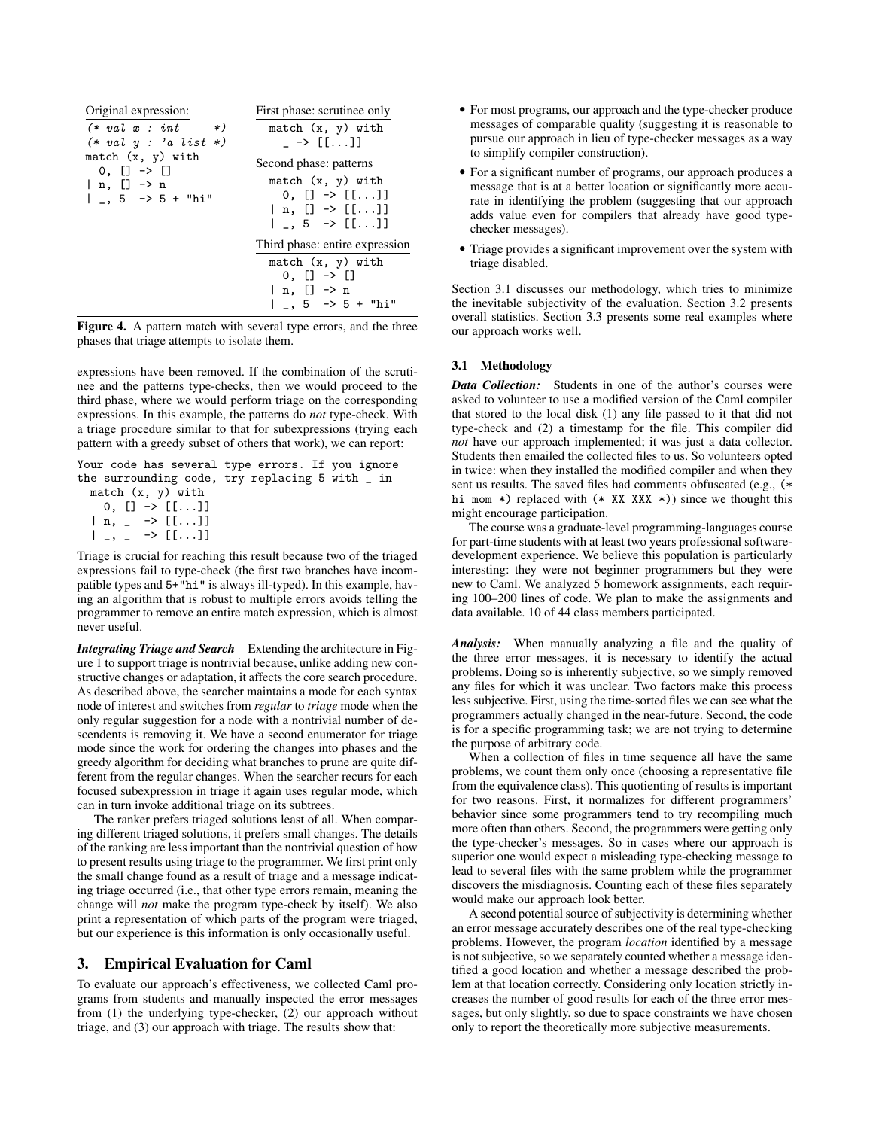| Original expression:                                                                                                                          | First phase: scrutinee only                                                                                                 |
|-----------------------------------------------------------------------------------------------------------------------------------------------|-----------------------------------------------------------------------------------------------------------------------------|
| $(* val x : int$<br>$\ast$ )<br>$(* val y : 'a list *)$<br>match $(x, y)$ with<br>$0, [] \rightarrow []$<br>$\mid n, \mid \mid \rightarrow n$ | match $(x, y)$ with<br>$\_$ -> $[[]]$<br>Second phase: patterns<br>match $(x, y)$ with<br>$0,$ $1 \rightarrow$ $[1 \ldots]$ |
| $\vert$ $\vert$ , 5 -> 5 + "hi"                                                                                                               | $\mid n, \mid \mid \mid \rightarrow \mid \mid \mid \ldots \mid \mid$<br>$ $ , 5 -> [[]]<br>Third phase: entire expression   |
|                                                                                                                                               | match $(x, y)$ with<br>$0, [] \rightarrow []$<br>$\mid n, \mid \mid \rightarrow n$<br>  _, 5  -> 5 + "hi"                   |

Figure 4. A pattern match with several type errors, and the three phases that triage attempts to isolate them.

expressions have been removed. If the combination of the scrutinee and the patterns type-checks, then we would proceed to the third phase, where we would perform triage on the corresponding expressions. In this example, the patterns do *not* type-check. With a triage procedure similar to that for subexpressions (trying each pattern with a greedy subset of others that work), we can report:

```
Your code has several type errors. If you ignore
the surrounding code, try replacing 5 with _ in
```

```
match (x, y) with
   0, [] \rightarrow [[...]]| n, - \rangle [[...]]
| , | , | \_ , | \_ \_ \rightarrow | [[...]]
```
Triage is crucial for reaching this result because two of the triaged expressions fail to type-check (the first two branches have incompatible types and 5+"hi" is always ill-typed). In this example, having an algorithm that is robust to multiple errors avoids telling the programmer to remove an entire match expression, which is almost never useful.

*Integrating Triage and Search* Extending the architecture in Figure 1 to support triage is nontrivial because, unlike adding new constructive changes or adaptation, it affects the core search procedure. As described above, the searcher maintains a mode for each syntax node of interest and switches from *regular* to *triage* mode when the only regular suggestion for a node with a nontrivial number of descendents is removing it. We have a second enumerator for triage mode since the work for ordering the changes into phases and the greedy algorithm for deciding what branches to prune are quite different from the regular changes. When the searcher recurs for each focused subexpression in triage it again uses regular mode, which can in turn invoke additional triage on its subtrees.

The ranker prefers triaged solutions least of all. When comparing different triaged solutions, it prefers small changes. The details of the ranking are less important than the nontrivial question of how to present results using triage to the programmer. We first print only the small change found as a result of triage and a message indicating triage occurred (i.e., that other type errors remain, meaning the change will *not* make the program type-check by itself). We also print a representation of which parts of the program were triaged, but our experience is this information is only occasionally useful.

# 3. Empirical Evaluation for Caml

To evaluate our approach's effectiveness, we collected Caml programs from students and manually inspected the error messages from (1) the underlying type-checker, (2) our approach without triage, and (3) our approach with triage. The results show that:

- For most programs, our approach and the type-checker produce messages of comparable quality (suggesting it is reasonable to pursue our approach in lieu of type-checker messages as a way to simplify compiler construction).
- For a significant number of programs, our approach produces a message that is at a better location or significantly more accurate in identifying the problem (suggesting that our approach adds value even for compilers that already have good typechecker messages).
- Triage provides a significant improvement over the system with triage disabled.

Section 3.1 discusses our methodology, which tries to minimize the inevitable subjectivity of the evaluation. Section 3.2 presents overall statistics. Section 3.3 presents some real examples where our approach works well.

## 3.1 Methodology

*Data Collection:* Students in one of the author's courses were asked to volunteer to use a modified version of the Caml compiler that stored to the local disk (1) any file passed to it that did not type-check and (2) a timestamp for the file. This compiler did *not* have our approach implemented; it was just a data collector. Students then emailed the collected files to us. So volunteers opted in twice: when they installed the modified compiler and when they sent us results. The saved files had comments obfuscated (e.g., (\* hi mom  $*)$  replaced with  $(*$  XX XXX  $*)$  since we thought this might encourage participation.

The course was a graduate-level programming-languages course for part-time students with at least two years professional softwaredevelopment experience. We believe this population is particularly interesting: they were not beginner programmers but they were new to Caml. We analyzed 5 homework assignments, each requiring 100–200 lines of code. We plan to make the assignments and data available. 10 of 44 class members participated.

*Analysis:* When manually analyzing a file and the quality of the three error messages, it is necessary to identify the actual problems. Doing so is inherently subjective, so we simply removed any files for which it was unclear. Two factors make this process less subjective. First, using the time-sorted files we can see what the programmers actually changed in the near-future. Second, the code is for a specific programming task; we are not trying to determine the purpose of arbitrary code.

When a collection of files in time sequence all have the same problems, we count them only once (choosing a representative file from the equivalence class). This quotienting of results is important for two reasons. First, it normalizes for different programmers' behavior since some programmers tend to try recompiling much more often than others. Second, the programmers were getting only the type-checker's messages. So in cases where our approach is superior one would expect a misleading type-checking message to lead to several files with the same problem while the programmer discovers the misdiagnosis. Counting each of these files separately would make our approach look better.

A second potential source of subjectivity is determining whether an error message accurately describes one of the real type-checking problems. However, the program *location* identified by a message is not subjective, so we separately counted whether a message identified a good location and whether a message described the problem at that location correctly. Considering only location strictly increases the number of good results for each of the three error messages, but only slightly, so due to space constraints we have chosen only to report the theoretically more subjective measurements.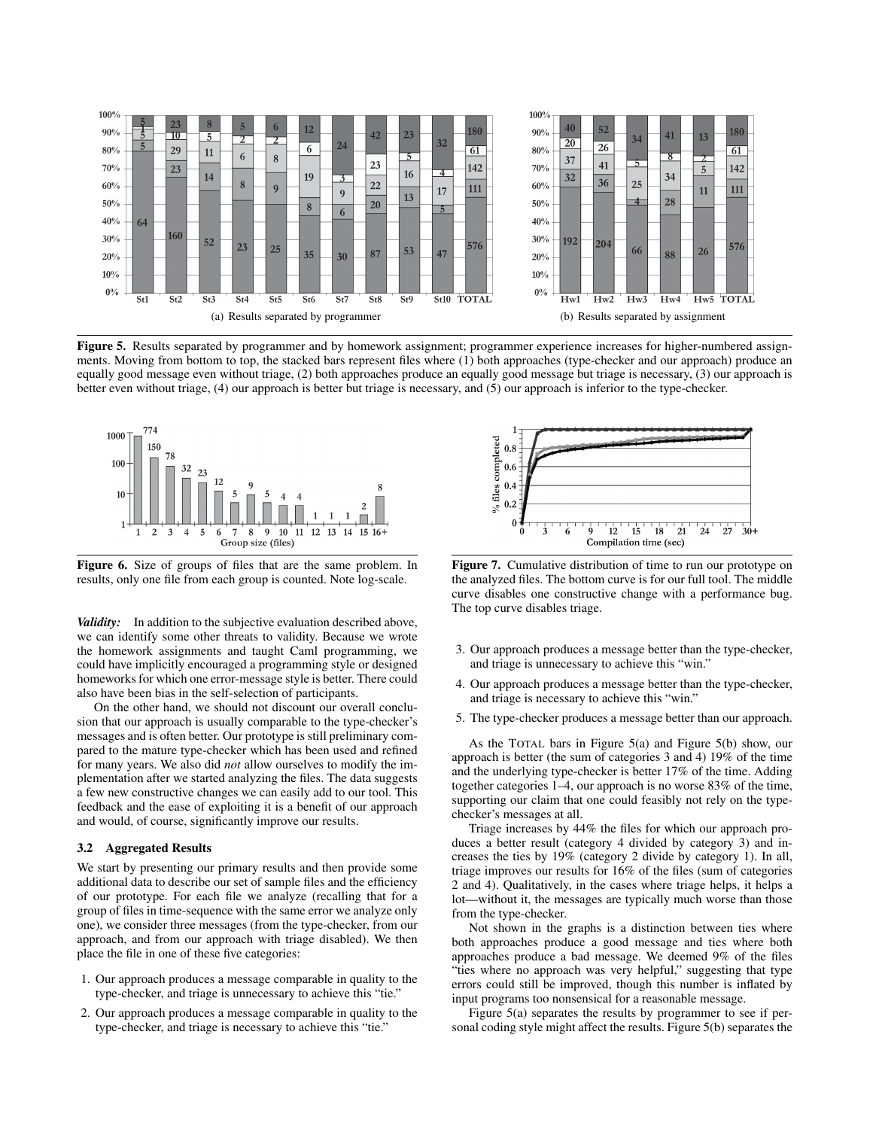

Figure 5. Results separated by programmer and by homework assignment; programmer experience increases for higher-numbered assignments. Moving from bottom to top, the stacked bars represent files where (1) both approaches (type-checker and our approach) produce an equally good message even without triage, (2) both approaches produce an equally good message but triage is necessary, (3) our approach is better even without triage, (4) our approach is better but triage is necessary, and (5) our approach is inferior to the type-checker.



Figure 6. Size of groups of files that are the same problem. In results, only one file from each group is counted. Note log-scale.

*Validity:* In addition to the subjective evaluation described above, we can identify some other threats to validity. Because we wrote the homework assignments and taught Caml programming, we could have implicitly encouraged a programming style or designed homeworks for which one error-message style is better. There could also have been bias in the self-selection of participants.

On the other hand, we should not discount our overall conclusion that our approach is usually comparable to the type-checker's messages and is often better. Our prototype is still preliminary compared to the mature type-checker which has been used and refined for many years. We also did *not* allow ourselves to modify the implementation after we started analyzing the files. The data suggests a few new constructive changes we can easily add to our tool. This feedback and the ease of exploiting it is a benefit of our approach and would, of course, significantly improve our results.

#### 3.2 Aggregated Results

We start by presenting our primary results and then provide some additional data to describe our set of sample files and the efficiency of our prototype. For each file we analyze (recalling that for a group of files in time-sequence with the same error we analyze only one), we consider three messages (from the type-checker, from our approach, and from our approach with triage disabled). We then place the file in one of these five categories:

- 1. Our approach produces a message comparable in quality to the type-checker, and triage is unnecessary to achieve this "tie."
- 2. Our approach produces a message comparable in quality to the type-checker, and triage is necessary to achieve this "tie."



Figure 7. Cumulative distribution of time to run our prototype on the analyzed files. The bottom curve is for our full tool. The middle curve disables one constructive change with a performance bug. The top curve disables triage.

- 3. Our approach produces a message better than the type-checker, and triage is unnecessary to achieve this "win."
- 4. Our approach produces a message better than the type-checker, and triage is necessary to achieve this "win."
- 5. The type-checker produces a message better than our approach.

As the TOTAL bars in Figure 5(a) and Figure 5(b) show, our approach is better (the sum of categories 3 and 4) 19% of the time and the underlying type-checker is better 17% of the time. Adding together categories 1–4, our approach is no worse 83% of the time, supporting our claim that one could feasibly not rely on the typechecker's messages at all.

Triage increases by 44% the files for which our approach produces a better result (category 4 divided by category 3) and increases the ties by 19% (category 2 divide by category 1). In all, triage improves our results for 16% of the files (sum of categories 2 and 4). Qualitatively, in the cases where triage helps, it helps a lot—without it, the messages are typically much worse than those from the type-checker.

Not shown in the graphs is a distinction between ties where both approaches produce a good message and ties where both approaches produce a bad message. We deemed 9% of the files "ties where no approach was very helpful," suggesting that type errors could still be improved, though this number is inflated by input programs too nonsensical for a reasonable message.

Figure 5(a) separates the results by programmer to see if personal coding style might affect the results. Figure 5(b) separates the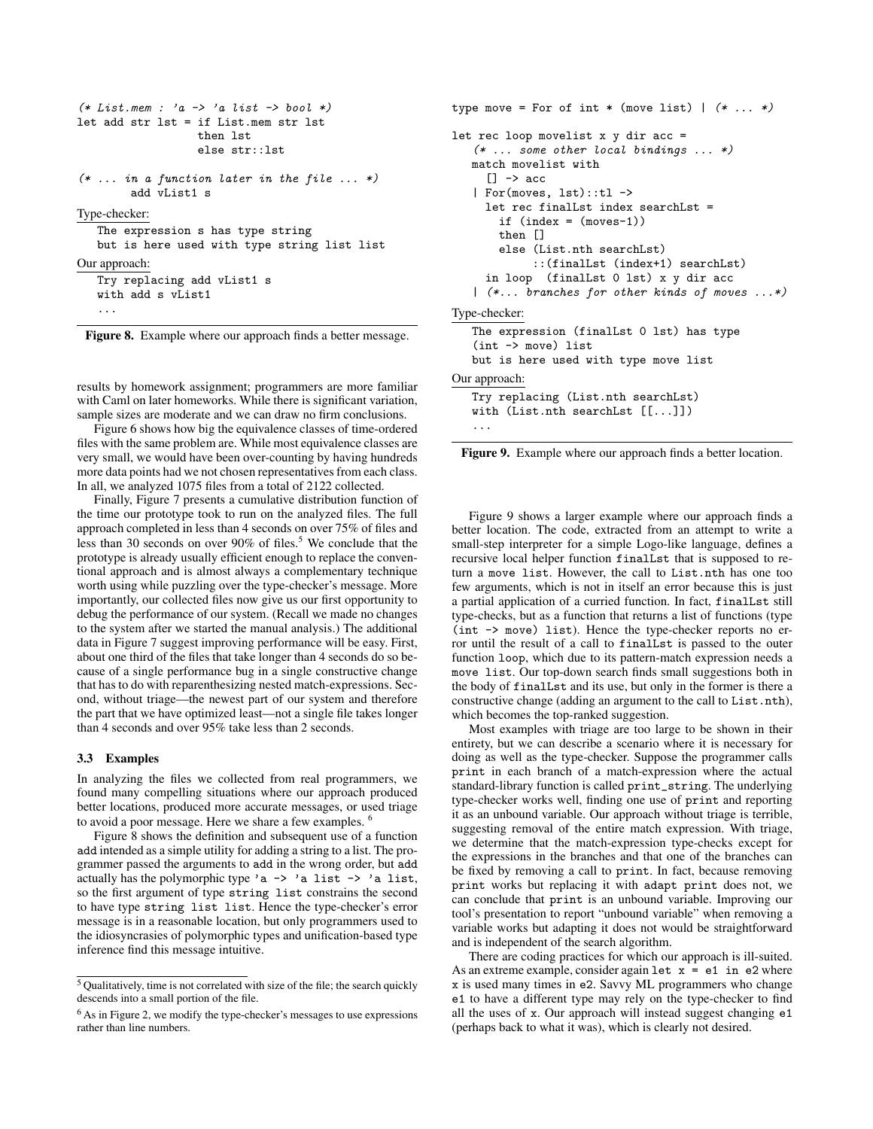```
(* List. mem : 'a -> 'a list -> bool *)let add str lst = if List.mem str lst
                   then lst
                   else str::lst
(* \ldots in a function later in the file \ldots *)add vList1 s
Type-checker:
   The expression s has type string
   but is here used with type string list list
Our approach:
   Try replacing add vList1 s
   with add s vList1
   ...
```
Figure 8. Example where our approach finds a better message.

results by homework assignment; programmers are more familiar with Caml on later homeworks. While there is significant variation, sample sizes are moderate and we can draw no firm conclusions.

Figure 6 shows how big the equivalence classes of time-ordered files with the same problem are. While most equivalence classes are very small, we would have been over-counting by having hundreds more data points had we not chosen representatives from each class. In all, we analyzed 1075 files from a total of 2122 collected.

Finally, Figure 7 presents a cumulative distribution function of the time our prototype took to run on the analyzed files. The full approach completed in less than 4 seconds on over 75% of files and less than 30 seconds on over 90% of files.<sup>5</sup> We conclude that the prototype is already usually efficient enough to replace the conventional approach and is almost always a complementary technique worth using while puzzling over the type-checker's message. More importantly, our collected files now give us our first opportunity to debug the performance of our system. (Recall we made no changes to the system after we started the manual analysis.) The additional data in Figure 7 suggest improving performance will be easy. First, about one third of the files that take longer than 4 seconds do so because of a single performance bug in a single constructive change that has to do with reparenthesizing nested match-expressions. Second, without triage—the newest part of our system and therefore the part that we have optimized least—not a single file takes longer than 4 seconds and over 95% take less than 2 seconds.

#### 3.3 Examples

In analyzing the files we collected from real programmers, we found many compelling situations where our approach produced better locations, produced more accurate messages, or used triage to avoid a poor message. Here we share a few examples.

Figure 8 shows the definition and subsequent use of a function add intended as a simple utility for adding a string to a list. The programmer passed the arguments to add in the wrong order, but add actually has the polymorphic type 'a  $\rightarrow$  'a list  $\rightarrow$  'a list, so the first argument of type string list constrains the second to have type string list list. Hence the type-checker's error message is in a reasonable location, but only programmers used to the idiosyncrasies of polymorphic types and unification-based type inference find this message intuitive.

```
type move = For of int * (move list) | (* \dots * )let rec loop movelist x y dir acc =
   (* ... some other local bindings ... *)
   match movelist with
     \Box \rightarrow acc
   | For(moves, lst)::tl ->
     let rec finalLst index searchLst =
       if (index = (moves-1))then []
       else (List.nth searchLst)
            ::(finalLst (index+1) searchLst)
     in loop (finalLst 0 lst) x y dir acc
   | (*... branches for other kinds of moves ...*)
Type-checker:
   The expression (finalLst 0 lst) has type
   (int -> move) list
   but is here used with type move list
Our approach:
   Try replacing (List.nth searchLst)
   with (List.nth searchLst [[...]])
   ...
```
Figure 9. Example where our approach finds a better location.

Figure 9 shows a larger example where our approach finds a better location. The code, extracted from an attempt to write a small-step interpreter for a simple Logo-like language, defines a recursive local helper function finalLst that is supposed to return a move list. However, the call to List.nth has one too few arguments, which is not in itself an error because this is just a partial application of a curried function. In fact, finalLst still type-checks, but as a function that returns a list of functions (type (int -> move) list). Hence the type-checker reports no error until the result of a call to finalLst is passed to the outer function loop, which due to its pattern-match expression needs a move list. Our top-down search finds small suggestions both in the body of finalLst and its use, but only in the former is there a constructive change (adding an argument to the call to List.nth), which becomes the top-ranked suggestion.

Most examples with triage are too large to be shown in their entirety, but we can describe a scenario where it is necessary for doing as well as the type-checker. Suppose the programmer calls print in each branch of a match-expression where the actual standard-library function is called print\_string. The underlying type-checker works well, finding one use of print and reporting it as an unbound variable. Our approach without triage is terrible, suggesting removal of the entire match expression. With triage, we determine that the match-expression type-checks except for the expressions in the branches and that one of the branches can be fixed by removing a call to print. In fact, because removing print works but replacing it with adapt print does not, we can conclude that print is an unbound variable. Improving our tool's presentation to report "unbound variable" when removing a variable works but adapting it does not would be straightforward and is independent of the search algorithm.

There are coding practices for which our approach is ill-suited. As an extreme example, consider again let  $x = e1$  in e2 where x is used many times in e2. Savvy ML programmers who change e1 to have a different type may rely on the type-checker to find all the uses of x. Our approach will instead suggest changing e1 (perhaps back to what it was), which is clearly not desired.

<sup>5</sup> Qualitatively, time is not correlated with size of the file; the search quickly descends into a small portion of the file.

<sup>&</sup>lt;sup>6</sup> As in Figure 2, we modify the type-checker's messages to use expressions rather than line numbers.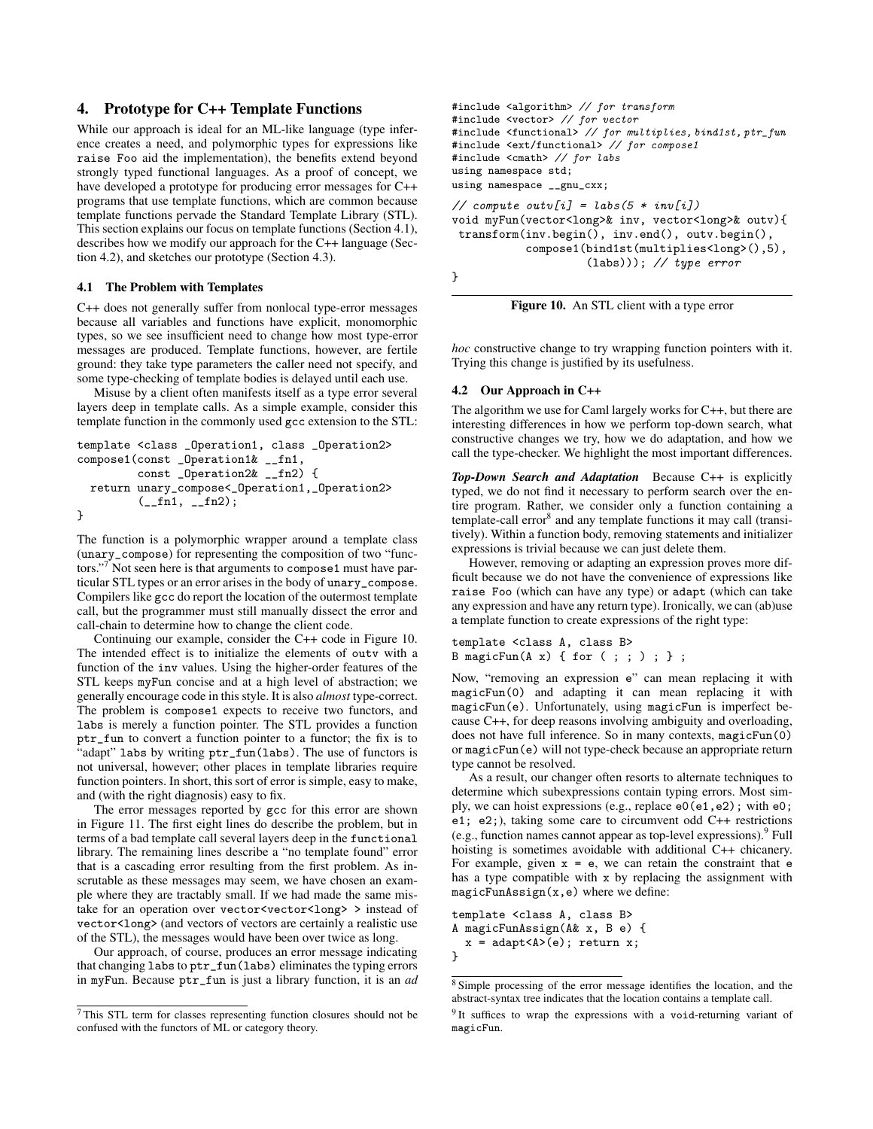# 4. Prototype for C++ Template Functions

While our approach is ideal for an ML-like language (type inference creates a need, and polymorphic types for expressions like raise Foo aid the implementation), the benefits extend beyond strongly typed functional languages. As a proof of concept, we have developed a prototype for producing error messages for C++ programs that use template functions, which are common because template functions pervade the Standard Template Library (STL). This section explains our focus on template functions (Section 4.1), describes how we modify our approach for the C++ language (Section 4.2), and sketches our prototype (Section 4.3).

### 4.1 The Problem with Templates

C++ does not generally suffer from nonlocal type-error messages because all variables and functions have explicit, monomorphic types, so we see insufficient need to change how most type-error messages are produced. Template functions, however, are fertile ground: they take type parameters the caller need not specify, and some type-checking of template bodies is delayed until each use.

Misuse by a client often manifests itself as a type error several layers deep in template calls. As a simple example, consider this template function in the commonly used gcc extension to the STL:

```
template <class _Operation1, class _Operation2>
compose1(const _Operation1& __fn1,
         const _Operation2& __fn2) {
 return unary_compose<_Operation1,_Operation2>
         (\_fn1, _fn2);
}
```
The function is a polymorphic wrapper around a template class (unary\_compose) for representing the composition of two "functors."<sup>7</sup> Not seen here is that arguments to compose1 must have particular STL types or an error arises in the body of unary\_compose. Compilers like gcc do report the location of the outermost template call, but the programmer must still manually dissect the error and call-chain to determine how to change the client code.

Continuing our example, consider the C++ code in Figure 10. The intended effect is to initialize the elements of outv with a function of the inv values. Using the higher-order features of the STL keeps myFun concise and at a high level of abstraction; we generally encourage code in this style. It is also *almost* type-correct. The problem is compose1 expects to receive two functors, and labs is merely a function pointer. The STL provides a function ptr\_fun to convert a function pointer to a functor; the fix is to 'adapt" labs by writing ptr\_fun(labs). The use of functors is not universal, however; other places in template libraries require function pointers. In short, this sort of error is simple, easy to make, and (with the right diagnosis) easy to fix.

The error messages reported by gcc for this error are shown in Figure 11. The first eight lines do describe the problem, but in terms of a bad template call several layers deep in the functional library. The remaining lines describe a "no template found" error that is a cascading error resulting from the first problem. As inscrutable as these messages may seem, we have chosen an example where they are tractably small. If we had made the same mistake for an operation over vector<vector<long> > instead of vector<long> (and vectors of vectors are certainly a realistic use of the STL), the messages would have been over twice as long.

Our approach, of course, produces an error message indicating that changing labs to ptr\_fun(labs) eliminates the typing errors in myFun. Because ptr\_fun is just a library function, it is an *ad*

```
#include <algorithm> // for transform
#include <vector> // for vector
#include <functional> // for multiplies, bind1st, ptr_fun
#include <ext/functional> // for compose1
#include <cmath> // for labs
using namespace std;
using namespace __gnu_cxx;
// compute outv[i] = labs(5 * inv[i])
void myFun(vector<long>& inv, vector<long>& outv){
 transform(inv.begin(), inv.end(), outv.begin(),
            compose1(bind1st(multiplies<long>(),5),
                     (labs)); // type error
```


Figure 10. An STL client with a type error

*hoc* constructive change to try wrapping function pointers with it. Trying this change is justified by its usefulness.

## 4.2 Our Approach in C++

The algorithm we use for Caml largely works for C++, but there are interesting differences in how we perform top-down search, what constructive changes we try, how we do adaptation, and how we call the type-checker. We highlight the most important differences.

*Top-Down Search and Adaptation* Because C++ is explicitly typed, we do not find it necessary to perform search over the entire program. Rather, we consider only a function containing a template-call error<sup>8</sup> and any template functions it may call (transitively). Within a function body, removing statements and initializer expressions is trivial because we can just delete them.

However, removing or adapting an expression proves more difficult because we do not have the convenience of expressions like raise Foo (which can have any type) or adapt (which can take any expression and have any return type). Ironically, we can (ab)use a template function to create expressions of the right type:

template <class A, class B> B magicFun(A x) { for ( ; ; ) ; } ;

Now, "removing an expression e" can mean replacing it with magicFun(0) and adapting it can mean replacing it with magicFun(e). Unfortunately, using magicFun is imperfect because C++, for deep reasons involving ambiguity and overloading, does not have full inference. So in many contexts, magicFun(0) or magicFun(e) will not type-check because an appropriate return type cannot be resolved.

As a result, our changer often resorts to alternate techniques to determine which subexpressions contain typing errors. Most simply, we can hoist expressions (e.g., replace  $e0(e1, e2)$ ; with  $e0$ ; e1; e2;), taking some care to circumvent odd C++ restrictions (e.g., function names cannot appear as top-level expressions).<sup>9</sup> Full hoisting is sometimes avoidable with additional C++ chicanery. For example, given  $x = e$ , we can retain the constraint that  $e$ has a type compatible with x by replacing the assignment with magicFunAssign(x,e) where we define:

```
template <class A, class B>
A magicFunAssign(A& x, B e) {
  x = adapt < A>(e); return x;
}
```
<sup>7</sup> This STL term for classes representing function closures should not be confused with the functors of ML or category theory.

<sup>8</sup> Simple processing of the error message identifies the location, and the abstract-syntax tree indicates that the location contains a template call.

<sup>&</sup>lt;sup>9</sup>It suffices to wrap the expressions with a void-returning variant of magicFun.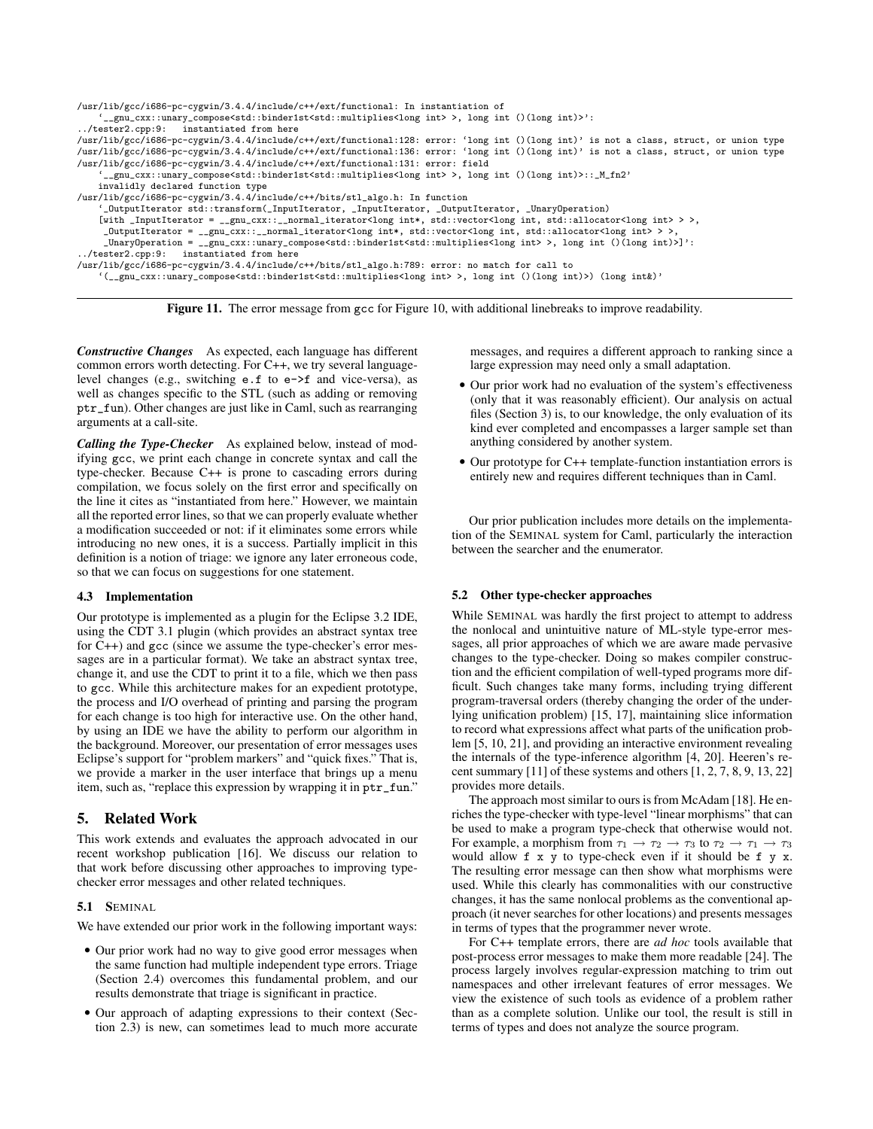```
/usr/lib/gcc/i686-pc-cygwin/3.4.4/include/c++/ext/functional: In instantiation of
    '__gnu_cxx::unary_compose<std::binder1st<std::multiplies<long int> >, long int ()(long int)>':
 ../tester2.cpp:9: instantiated from here
/usr/lib/gcc/i686-pc-cygwin/3.4.4/include/c++/ext/functional:128: error: 'long int ()(long int)' is not a class, struct, or union type
/usr/lib/gcc/i686-pc-cygwin/3.4.4/include/c++/ext/functional:136: error: 'long int ()(long int)' is not a class, struct, or union type
/usr/lib/gcc/i686-pc-cygwin/3.4.4/include/c++/ext/functional:131: error: field
     '__gnu_cxx::unary_compose<std::binder1st<std::multiplies<long int> >, long int ()(long int)>::_M_fn2'
    invalidly declared function type
/usr/lib/gcc/i686-pc-cygwin/3.4.4/include/c++/bits/stl_algo.h: In function
    '_OutputIterator std::transform(_InputIterator, _InputIterator, _OutputIterator, _UnaryOperation)
    [with _InputIterator = __gnu_cxx::__normal_iterator<long int*, std::vector<long int, std::allocator<long int> > >,
     _OutputIterator = __gnu_cxx::__normal_iterator<long int*, std::vector<long int, std::allocator<long int> > >,
     _UnaryOperation = __gnu_cxx::unary_compose<std::binder1st<std::multiplies<long int> >, long int ()(long int)>]':
 ../tester2.cpp:9: instantiated from here
/usr/lib/gcc/i686-pc-cygwin/3.4.4/include/c++/bits/stl_algo.h:789: error: no match for call to
    '(__gnu_cxx::unary_compose<std::binder1st<std::multiplies<long int> >, long int ()(long int)>) (long int&)'
```
Figure 11. The error message from gcc for Figure 10, with additional linebreaks to improve readability.

*Constructive Changes* As expected, each language has different common errors worth detecting. For C++, we try several languagelevel changes (e.g., switching e.f to e->f and vice-versa), as well as changes specific to the STL (such as adding or removing ptr\_fun). Other changes are just like in Caml, such as rearranging arguments at a call-site.

*Calling the Type-Checker* As explained below, instead of modifying gcc, we print each change in concrete syntax and call the type-checker. Because C++ is prone to cascading errors during compilation, we focus solely on the first error and specifically on the line it cites as "instantiated from here." However, we maintain all the reported error lines, so that we can properly evaluate whether a modification succeeded or not: if it eliminates some errors while introducing no new ones, it is a success. Partially implicit in this definition is a notion of triage: we ignore any later erroneous code, so that we can focus on suggestions for one statement.

#### 4.3 Implementation

Our prototype is implemented as a plugin for the Eclipse 3.2 IDE, using the CDT 3.1 plugin (which provides an abstract syntax tree for C++) and gcc (since we assume the type-checker's error messages are in a particular format). We take an abstract syntax tree, change it, and use the CDT to print it to a file, which we then pass to gcc. While this architecture makes for an expedient prototype, the process and I/O overhead of printing and parsing the program for each change is too high for interactive use. On the other hand, by using an IDE we have the ability to perform our algorithm in the background. Moreover, our presentation of error messages uses Eclipse's support for "problem markers" and "quick fixes." That is, we provide a marker in the user interface that brings up a menu item, such as, "replace this expression by wrapping it in ptr\_fun."

## 5. Related Work

This work extends and evaluates the approach advocated in our recent workshop publication [16]. We discuss our relation to that work before discussing other approaches to improving typechecker error messages and other related techniques.

## 5.1 SEMINAL

We have extended our prior work in the following important ways:

- Our prior work had no way to give good error messages when the same function had multiple independent type errors. Triage (Section 2.4) overcomes this fundamental problem, and our results demonstrate that triage is significant in practice.
- Our approach of adapting expressions to their context (Section 2.3) is new, can sometimes lead to much more accurate

messages, and requires a different approach to ranking since a large expression may need only a small adaptation.

- Our prior work had no evaluation of the system's effectiveness (only that it was reasonably efficient). Our analysis on actual files (Section 3) is, to our knowledge, the only evaluation of its kind ever completed and encompasses a larger sample set than anything considered by another system.
- Our prototype for C++ template-function instantiation errors is entirely new and requires different techniques than in Caml.

Our prior publication includes more details on the implementation of the SEMINAL system for Caml, particularly the interaction between the searcher and the enumerator.

#### 5.2 Other type-checker approaches

While SEMINAL was hardly the first project to attempt to address the nonlocal and unintuitive nature of ML-style type-error messages, all prior approaches of which we are aware made pervasive changes to the type-checker. Doing so makes compiler construction and the efficient compilation of well-typed programs more difficult. Such changes take many forms, including trying different program-traversal orders (thereby changing the order of the underlying unification problem) [15, 17], maintaining slice information to record what expressions affect what parts of the unification problem [5, 10, 21], and providing an interactive environment revealing the internals of the type-inference algorithm [4, 20]. Heeren's recent summary  $[11]$  of these systems and others  $[1, 2, 7, 8, 9, 13, 22]$ provides more details.

The approach most similar to ours is from McAdam [18]. He enriches the type-checker with type-level "linear morphisms" that can be used to make a program type-check that otherwise would not. For example, a morphism from  $\tau_1 \rightarrow \tau_2 \rightarrow \tau_3$  to  $\tau_2 \rightarrow \tau_1 \rightarrow \tau_3$ would allow  $f \times y$  to type-check even if it should be  $f \times y$ . The resulting error message can then show what morphisms were used. While this clearly has commonalities with our constructive changes, it has the same nonlocal problems as the conventional approach (it never searches for other locations) and presents messages in terms of types that the programmer never wrote.

For C++ template errors, there are *ad hoc* tools available that post-process error messages to make them more readable [24]. The process largely involves regular-expression matching to trim out namespaces and other irrelevant features of error messages. We view the existence of such tools as evidence of a problem rather than as a complete solution. Unlike our tool, the result is still in terms of types and does not analyze the source program.